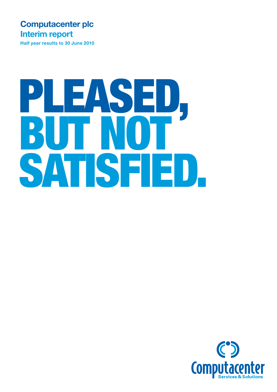## Computacenter plc Interim report

Half year results to 30 June 2010

# PLEASED, but not SATISFIED.

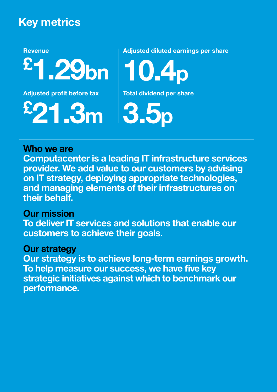# **Key metrics**

Revenue

£ 1.29bn 10.4p

Adjusted profit before tax

£ 21.3m 3.5p

Adjusted diluted earnings per share

Total dividend per share

## Who we are

Computacenter is a leading IT infrastructure services provider. We add value to our customers by advising on IT strategy, deploying appropriate technologies, and managing elements of their infrastructures on their behalf.

## Our mission

To deliver IT services and solutions that enable our customers to achieve their goals.

## Our strategy

Our strategy is to achieve long-term earnings growth. To help measure our success, we have five key strategic initiatives against which to benchmark our performance.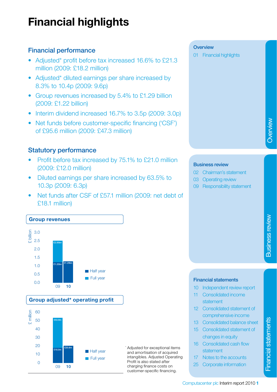# Financial highlights

## Financial performance

- Adjusted\* profit before tax increased 16.6% to £21.3 million (2009: £18.2 million)
- Adjusted\* diluted earnings per share increased by 8.3% to 10.4p (2009: 9.6p)
- Group revenues increased by 5.4% to £1.29 billion (2009: £1.22 billion)
- Interim dividend increased 16.7% to 3.5p (2009: 3.0p)
- Net funds before customer-specific financing ('CSF') of £95.6 million (2009: £47.3 million)

### Statutory performance

- Profit before tax increased by 75.1% to £21.0 million (2009: £12.0 million)
- **Diluted earnings per share increased by 63.5% to** 10.3p (2009: 6.3p)
- Net funds after CSF of £57.1 million (2009: net debt of £18.1 million)





\* Adjusted for exceptional items and amortisation of acquired intangibles. Adjusted Operating Profit is also stated after charging finance costs on customer-specific financing.

**Overview** 

#### 01 Financial highlights

#### Business review

- 02 Chairman's statement
- 03 Operating review
- 09 Responsibility statement

Financial statements

## **Financial statements**

- 10 Independent review report
- 11 Consolidated income statement
- 12 Consolidated statement of comprehensive income
- 13 Consolidated balance sheet
- 15 Consolidated statement of changes in equity
- 16 Consolidated cash flow statement
- 17 Notes to the accounts
	- 25 Corporate information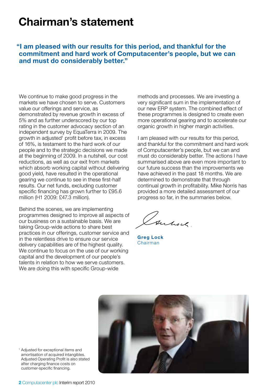## Chairman's statement

"I am pleased with our results for this period, and thankful for the commitment and hard work of Computacenter's people, but we can and must do considerably better."

We continue to make good progress in the markets we have chosen to serve. Customers value our offerings and service, as demonstrated by revenue growth in excess of 5% and as further underscored by our top rating in the customer advocacy section of an independent survey by EquaTerra in 2009. The growth in adjusted<sup>1</sup> profit before tax, in excess of 16%, is testament to the hard work of our people and to the strategic decisions we made at the beginning of 2009. In a nutshell, our cost reductions, as well as our exit from markets which absorb working capital without delivering good yield, have resulted in the operational gearing we continue to see in these first-half results. Our net funds, excluding customer specific financing has grown further to £95.6 million (H1 2009: £47.3 million).

Behind the scenes, we are implementing programmes designed to improve all aspects of our business on a sustainable basis. We are taking Group-wide actions to share best practices in our offerings, customer service and in the relentless drive to ensure our service delivery capabilities are of the highest quality. We continue to focus on the use of our working capital and the development of our people's talents in relation to how we serve customers. We are doing this with specific Group-wide

methods and processes. We are investing a very significant sum in the implementation of our new ERP system. The combined effect of these programmes is designed to create even more operational gearing and to accelerate our organic growth in higher margin activities.

I am pleased with our results for this period, and thankful for the commitment and hard work of Computacenter's people, but we can and must do considerably better. The actions I have summarised above are even more important to our future success than the improvements we have achieved in the past 18 months. We are determined to demonstrate that through continual growth in profitability. Mike Norris has provided a more detailed assessment of our progress so far, in the summaries below.

Fulied

Greg Lock Chairman



<sup>1</sup> Adjusted for exceptional items and amortisation of acquired intangibles. Adjusted Operating Profit is also stated after charging finance costs on customer-specific financing.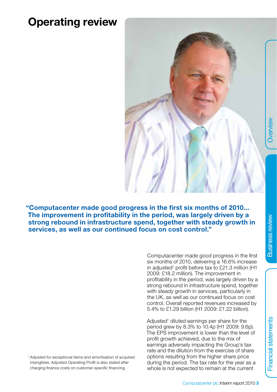## Operating review



"Computacenter made good progress in the first six months of 2010... The improvement in profitability in the period, was largely driven by a strong rebound in infrastructure spend, together with steady growth in services, as well as our continued focus on cost control."

> six months of 2010, delivering a 16.6% increase in adjusted<sup>1</sup> profit before tax to £21.3 million (H1 2009: £18.2 million). The improvement in profitability in the period, was largely driven by a strong rebound in infrastructure spend, together with steady growth in services, particularly in the UK, as well as our continued focus on cost control. Overall reported revenues increased by 5.4% to £1.29 billion (H1 2009: £1.22 billion).

Computacenter made good progress in the first

Adjusted<sup>1</sup> diluted earnings per share for the period grew by 8.3% to 10.4p (H1 2009: 9.6p). The EPS improvement is lower than the level of profit growth achieved, due to the mix of earnings adversely impacting the Group's tax rate and the dilution from the exercise of share options resulting from the higher share price during the period. The tax rate for the year as a whole is not expected to remain at the current

1 Adjusted for exceptional items and amortisation of acquired intangibles. Adjusted Operating Profit is also stated after charging finance costs on customer-specific financing.

**Business review**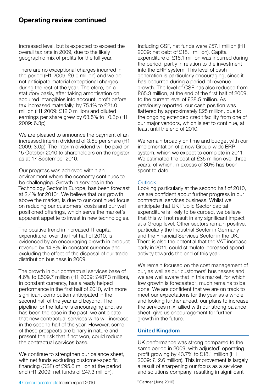increased level, but is expected to exceed the overall tax rate in 2009, due to the likely geographic mix of profits for the full year.

There are no exceptional charges incurred in the period (H1 2009: £6.0 million) and we do not anticipate material exceptional charges during the rest of the year. Therefore, on a statutory basis, after taking amortisation on acquired intangibles into account, profit before tax increased materially, by 75.1% to £21.0 million (H1 2009: £12.0 million) and diluted earnings per share grew by 63.5% to 10.3p (H1 2009: 6.3p).

We are pleased to announce the payment of an increased interim dividend of 3.5p per share (H1 2009: 3.0p). The interim dividend will be paid on 15 October 2010 to shareholders on the register as at 17 September 2010.

Our progress was achieved within an environment where the economy continues to be challenging. Growth in services in the Technology Sector in Europe, has been forecast at 2.4% for 2010<sup>2</sup>. We believe that our growth above the market, is due to our continued focus on reducing our customers' costs and our well positioned offerings, which serve the market's apparent appetite to invest in new technologies.

The positive trend in increased IT capital expenditure, over the first half of 2010, is evidenced by an encouraging growth in product revenue by 14.8%, in constant currency and excluding the effect of the disposal of our trade distribution business in 2009.

The growth in our contractual services base of 4.6% to £509.7 million (H1 2009: £487.3 million), in constant currency, has already helped performance in the first half of 2010, with more significant contribution anticipated in the second half of the year and beyond. The pipeline for the future is encouraging and, as has been the case in the past, we anticipate that new contractual services wins will increase in the second half of the year. However, some of these prospects are binary in nature and present the risk that if not won, could reduce the contractual services base.

We continue to strengthen our balance sheet, with net funds excluding customer-specific financing (CSF) of £95.6 million at the period end (H1 2009: net funds of £47.3 million).

Including CSF, net funds were £57.1 million (H1 2009: net debt of £18.1 million). Capital expenditure of £16.1 million was incurred during the period, partly in relation to the investment into the ERP system. This level of cash generation is particularly encouraging, since it has occurred during a period of revenue growth. The level of CSF has also reduced from £65.3 million, at the end of the first half of 2009, to the current level of £38.5 million. As previously reported, our cash position was flattered by approximately £25 million, due to the ongoing extended credit facility from one of our major vendors, which is set to continue, at least until the end of 2010.

We remain broadly on time and budget with our implementation of a new Group-wide ERP system, which we expect to complete in 2011. We estimated the cost at £35 million over three years, of which, in excess of 80% has been spent to date.

#### **Outlook**

Looking particularly at the second half of 2010, we are confident about further progress in our contractual services business. Whilst we anticipate that UK Public Sector capital expenditure is likely to be curbed, we believe that this will not result in any significant impact at a Group level. Other sectors remain positive, particularly the Industrial Sector in Germany and the Financial Services Sector in the UK. There is also the potential that the VAT increase early in 2011, could stimulate increased spend activity towards the end of this year.

We remain focused on the cost management of our, as well as our customers' businesses and we are well aware that in this market, for which low growth is forecasted<sup>2</sup>, much remains to be done. We are confident that we are on track to meet our expectations for the year as a whole and looking further ahead, our plans to increase the services mix, allied with our strong balance sheet, give us encouragement for further growth in the future.

#### United Kingdom

UK performance was strong compared to the same period in 2009, with adjusted<sup>1</sup> operating profit growing by 43.7% to £18.1 million (H1 2009: £12.6 million). This improvement is largely a result of sharpening our focus as a services and solutions company, resulting in significant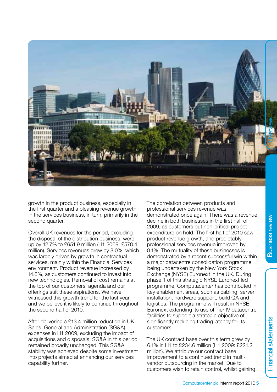

growth in the product business, especially in the first quarter and a pleasing revenue growth in the services business, in turn, primarily in the second quarter.

Overall UK revenues for the period, excluding the disposal of the distribution business, were up by 12.7% to £651.9 million (H1 2009: £578.4 million). Services revenues grew by 8.0%, which was largely driven by growth in contractual services, mainly within the Financial Services environment. Product revenue increased by 14.6%, as customers continued to invest into new technologies. Removal of cost remains at the top of our customers' agenda and our offerings suit these aspirations. We have witnessed this growth trend for the last year and we believe it is likely to continue throughout the second half of 2010.

After delivering a £13.4 million reduction in UK Sales, General and Administration (SG&A) expenses in H1 2009, excluding the impact of acquisitions and disposals, SG&A in this period remained broadly unchanged. This SG&A stability was achieved despite some investment into projects aimed at enhancing our services capability further.

The correlation between products and professional services revenue was demonstrated once again. There was a revenue decline in both businesses in the first half of 2009, as customers put non-critical project expenditure on hold. The first half of 2010 saw product revenue growth, and predictably, professional services revenue improved by 8.1%. The mutuality of these businesses is demonstrated by a recent successful win within a major datacentre consolidation programme being undertaken by the New York Stock Exchange (NYSE) Euronext in the UK. During phase 1 of this strategic NYSE Euronext led programme, Computacenter has contributed in key enablement areas, such as cabling, server installation, hardware support, build QA and logistics. The programme will result in NYSE Euronext extending its use of Tier IV datacentre facilities to support a strategic objective of significantly reducing trading latency for its customers.

The UK contract base over this term grew by 6.1% in H1 to £234.6 million (H1 2009: £221.2 million). We attribute our contract base improvement to a continued trend in multivendor outsourcing in the market. Due to customers wish to retain control, whilst gaining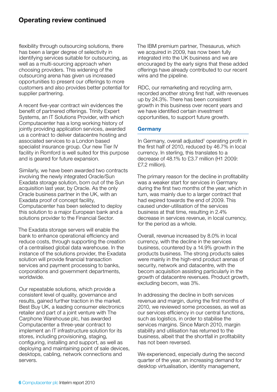## Operating review continued

flexibility through outsourcing solutions, there has been a larger degree of selectivity in identifying services suitable for outsourcing, as well as a multi-sourcing approach when choosing providers. This widening of the outsourcing arena has given us increased opportunities to present our offerings to more customers and also provides better potential for supplier partnering.

A recent five-year contract win evidences the benefit of partnered offerings. Trinity Expert Systems, an IT Solutions Provider, with which Computacenter has a long working history of jointly providing application services, awarded us a contract to deliver datacentre hosting and associated services to a London based specialist insurance group. Our new Tier IV facility in Romford is well suited for this purpose and is geared for future expansion.

Similarly, we have been awarded two contracts involving the newly integrated Oracle/Sun Exadata storage solution, born out of the Sun acquisition last year, by Oracle. As the only Oracle business partner in the UK, with an Exadata proof of concept facility, Computacenter has been selected to deploy this solution to a major European bank and a solutions provider to the Financial Sector.

The Exadata storage servers will enable the bank to enhance operational efficiency and reduce costs, through supporting the creation of a centralised global data warehouse. In the instance of the solutions provider, the Exadata solution will provide financial transaction services and payment processing to banks, corporations and government departments, worldwide.

Our repeatable solutions, which provide a consistent level of quality, governance and results, gained further traction in the market. Best Buy UK, a leading consumer electronics retailer and part of a joint venture with The Carphone Warehouse plc, has awarded Computacenter a three-year contract to implement an IT infrastructure solution for its stores, including provisioning, staging, configuring, installing and support, as well as deploying and maintaining point of sale devices, desktops, cabling, network connections and servers.

The IBM premium partner, Thesaurus, which we acquired in 2009, has now been fully integrated into the UK business and we are encouraged by the early signs that these added offerings have already contributed to our recent wins and the pipeline.

RDC, our remarketing and recycling arm, recorded another strong first half, with revenues up by 24.3%. There has been consistent growth in this business over recent years and we have identified certain investment opportunities, to support future growth.

#### **Germany**

In Germany, overall adjusted<sup>1</sup> operating profit in the first half of 2010, reduced by 46.7% in local currency. In sterling, this translates to a decrease of 48.1% to £3.7 million (H1 2009: £7.2 million).

The primary reason for the decline in profitability was a weaker start for services in Germany during the first two months of the year, which in turn, was mainly due to a larger contract that had expired towards the end of 2009. This caused under-utilisation of the services business at that time, resulting in 2.4% decrease in services revenue, in local currency, for the period as a whole.

Overall, revenue increased by 8.0% in local currency, with the decline in the services business, countered by a 14.9% growth in the products business. The strong products sales were mainly in the high-end product arenas of security, network and datacentre, with the becom acquisition assisting particularly in the growth of datacentre revenues. Product growth, excluding becom, was 3%.

In addressing the decline in both services revenue and margin, during the first months of 2010, we reviewed some processes, as well as our services efficiency in our central functions, such as logistics, in order to stabilise the services margins. Since March 2010, margin stability and utilisation has returned to the business, albeit that the shortfall in profitability has not been reversed.

We experienced, especially during the second quarter of the year, an increasing demand for desktop virtualisation, identity management,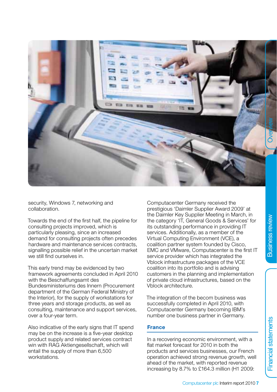

security, Windows 7, networking and collaboration.

Towards the end of the first half, the pipeline for consulting projects improved, which is particularly pleasing, since an increased demand for consulting projects often precedes hardware and maintenance services contracts, signalling possible relief in the uncertain market we still find ourselves in.

This early trend may be evidenced by two framework agreements concluded in April 2010 with the Beschaffungsamt des Bundesministeriums des Innern (Procurement department of the German Federal Ministry of the Interior), for the supply of workstations for three years and storage products, as well as consulting, maintenance and support services, over a four-year term.

Also indicative of the early signs that IT spend may be on the increase is a five-year desktop product supply and related services contract win with RAG Aktiengesellschaft, which will entail the supply of more than 6,500 workstations.

Computacenter Germany received the prestigious 'Daimler Supplier Award 2009' at the Daimler Key Supplier Meeting in March, in the category 'IT, General Goods & Services' for its outstanding performance in providing IT services. Additionally, as a member of the Virtual Computing Environment (VCE), a coalition partner system founded by Cisco, EMC and VMware, Computacenter is the first IT service provider which has integrated the Vblock infrastructure packages of the VCE coalition into its portfolio and is advising customers in the planning and implementation of private cloud infrastructures, based on the Vblock architecture.

The integration of the becom business was successfully completed in April 2010, with Computacenter Germany becoming IBM's number one business partner in Germany.

#### France

In a recovering economic environment, with a flat market forecast for 2010 in both the products and services businesses, our French operation achieved strong revenue growth, well ahead of the market, with reported revenue increasing by 8.7% to £164.3 million (H1 2009: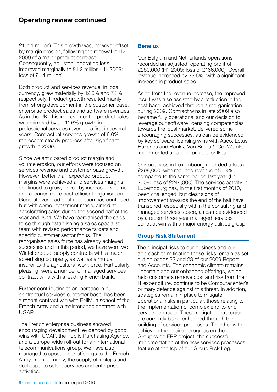£151.1 million). This growth was, however offset by margin erosion, following the renewal in H2 2009 of a major product contract. Consequently, adjusted<sup>1</sup> operating loss improved marginally to £1.2 million (H1 2009: loss of £1.4 million).

Both product and services revenue, in local currency, grew materially by 12.6% and 7.8% respectively. Product growth resulted mainly from strong development in the customer base, enterprise product sales and software revenues. As in the UK, this improvement in product sales was mirrored by an 11.6% growth in professional services revenue; a first in several years. Contractual services growth of 6.0% represents steady progress after significant growth in 2009.

Since we anticipated product margin and volume erosion, our efforts were focused on services revenue and customer base growth. However, better than expected product margins were achieved and services margins continued to grow, driven by increased volume and a leaner, more cost-efficient organisation. General overhead cost reduction has continued, but with some investment made, aimed at accelerating sales during the second half of the year and 2011. We have reorganised the sales force through establishing a sales specialist team with revised performance targets and specific customer sector focus. The reorganised sales force has already achieved successes and in this period, we have won two Wintel product supply contracts with a major advertising company, as well as a mutual insurer to the agricultural workforce. Particularly pleasing, were a number of managed services contract wins with a leading French bank.

Further contributing to an increase in our contractual services customer base, has been a recent contract win with ENIM, a school of the French Army and a maintenance contract with UGAP.

The French enterprise business showed encouraging development, evidenced by good wins with UGAP, the Public Purchasing Agency. and a Europe-wide roll-out for an international telecommunications group. We have also managed to upscale our offerings to the French Army, from primarily, the supply of laptops and desktops, to select services and enterprise activities.

#### Benelux

Our Belgium and Netherlands operations recorded an adjusted<sup>1</sup> operating profit of £280,000 (H1 2009: loss of £166,000). Overall revenue increased by 35.6%, with a significant increase in product sales.

Aside from the revenue increase, the improved result was also assisted by a reduction in the cost base, achieved through a reorganisation during 2009. Contract wins in late 2009 also became fully operational and our decision to leverage our software licensing competencies towards the local market, delivered some encouraging successes, as can be evidenced by key software licensing wins with Asco, Lotus Bakeries and Bank J Van Breda & Co. We also implemented a cabling project for Ikea.

Our business in Luxembourg recorded a loss of £298,000, with reduced revenue of 5.3%, compared to the same period last year (H1 2009: loss of £244,000). The services activity in Luxembourg has, in the first months of 2010, been challenged, but clear signs of improvement towards the end of the half have transpired, especially within the consulting and managed services space, as can be evidenced by a recent three-year managed services contract win with a major energy utilities group.

#### Group Risk Statement

The principal risks to our business and our approach to mitigating those risks remain as set out on pages 22 and 23 of our 2009 Report and Accounts. The economic climate remains uncertain and our enhanced offerings, which help customers remove cost and risk from their IT expenditure, continue to be Computacenter's primary defence against this threat. In addition, strategies remain in place to mitigate operational risks in particular, those relating to the implementation of complex end-to-end service contracts. These mitigation strategies are currently being enhanced through the building of services processes. Together with achieving the desired progress on the Group-wide ERP project, the successful implementation of the new services processes, feature at the top of our Group Risk Log.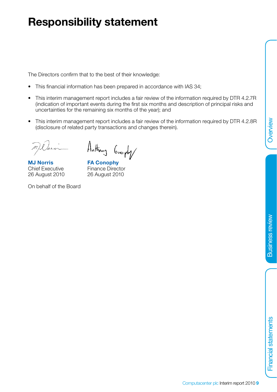# Responsibility statement

The Directors confirm that to the best of their knowledge:

- This financial information has been prepared in accordance with IAS 34;
- This interim management report includes a fair review of the information required by DTR 4.2.7R (indication of important events during the first six months and description of principal risks and uncertainties for the remaining six months of the year); and
- This interim management report includes a fair review of the information required by DTR 4.2.8R (disclosure of related party transactions and changes therein).

Anthony Groupy

**MJ Norris FA Conophy**<br>Chief Executive Finance Direc 26 August 2010

Finance Director<br>26 August 2010

On behalf of the Board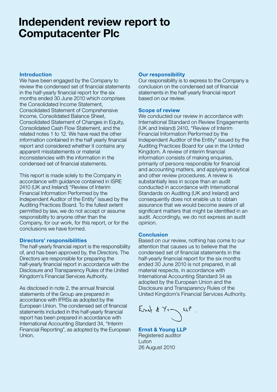## Independent review report to Computacenter Plc

#### Introduction

We have been engaged by the Company to review the condensed set of financial statements in the half-yearly financial report for the six months ended 30 June 2010 which comprises the Consolidated Income Statement, Consolidated Statement of Comprehensive Income, Consolidated Balance Sheet, Consolidated Statement of Changes in Equity, Consolidated Cash Flow Statement, and the related notes 1 to 12. We have read the other information contained in the half yearly financial report and considered whether it contains any apparent misstatements or material inconsistencies with the information in the condensed set of financial statements.

This report is made solely to the Company in accordance with guidance contained in ISRE 2410 (UK and Ireland) "Review of Interim Financial Information Performed by the Independent Auditor of the Entity" issued by the Auditing Practices Board. To the fullest extent permitted by law, we do not accept or assume responsibility to anyone other than the Company, for our work, for this report, or for the conclusions we have formed.

#### Directors' responsibilities

The half-yearly financial report is the responsibility of, and has been approved by, the Directors. The Directors are responsible for preparing the half-yearly financial report in accordance with the Disclosure and Transparency Rules of the United Kingdom's Financial Services Authority.

As disclosed in note 2, the annual financial statements of the Group are prepared in accordance with IFRSs as adopted by the European Union. The condensed set of financial statements included in this half-yearly financial report has been prepared in accordance with International Accounting Standard 34, "Interim Financial Reporting", as adopted by the European Union.

#### Our responsibility

Our responsibility is to express to the Company a conclusion on the condensed set of financial statements in the half-yearly financial report based on our review.

#### Scope of review

We conducted our review in accordance with International Standard on Review Engagements (UK and Ireland) 2410, "Review of Interim Financial Information Performed by the Independent Auditor of the Entity" issued by the Auditing Practices Board for use in the United Kingdom. A review of interim financial information consists of making enquiries, primarily of persons responsible for financial and accounting matters, and applying analytical and other review procedures. A review is substantially less in scope than an audit conducted in accordance with International Standards on Auditing (UK and Ireland) and consequently does not enable us to obtain assurance that we would become aware of all significant matters that might be identified in an audit. Accordingly, we do not express an audit opinion.

#### **Conclusion**

Based on our review, nothing has come to our attention that causes us to believe that the condensed set of financial statements in the half-yearly financial report for the six months ended 30 June 2010 is not prepared, in all material respects, in accordance with International Accounting Standard 34 as adopted by the European Union and the Disclosure and Transparency Rules of the United Kingdom's Financial Services Authority.

 $k$ met  $k$   $\gamma$   $\sim$   $\mu$ r

Ernst & Young LLP Registered auditor Luton 26 August 2010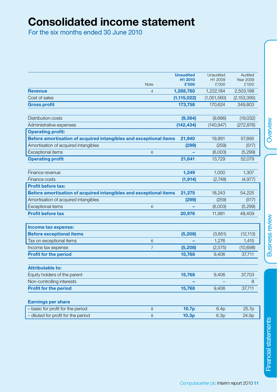# Consolidated income statement

For the six months ended 30 June 2010

|                                                                   | <b>Note</b>    | <b>Unaudited</b><br>H <sub>1</sub> 2010<br>£'000 | Unaudited<br>H1 2009<br>£'000 | Audited<br><b>Year 2009</b><br>£'000 |
|-------------------------------------------------------------------|----------------|--------------------------------------------------|-------------------------------|--------------------------------------|
| <b>Revenue</b>                                                    | $\overline{4}$ | 1,288,780                                        | 1,222,184                     | 2,503,198                            |
| Cost of sales                                                     |                | (1, 115, 022)                                    | (1,051,560)                   | (2, 153, 395)                        |
| <b>Gross profit</b>                                               |                | 173,758                                          | 170,624                       | 349,803                              |
|                                                                   |                |                                                  |                               |                                      |
| Distribution costs                                                |                | (9, 384)                                         | (9,686)                       | (19,032)                             |
| Administrative expenses                                           |                | (142, 434)                                       | (140, 947)                    | (272, 876)                           |
| <b>Operating profit:</b>                                          |                |                                                  |                               |                                      |
| Before amortisation of acquired intangibles and exceptional items |                | 21,940                                           | 19,991                        | 57,895                               |
| Amortisation of acquired intangibles                              |                | (299)                                            | (259)                         | (517)                                |
| Exceptional items                                                 | 6              |                                                  | (6,003)                       | (5, 299)                             |
| <b>Operating profit</b>                                           |                | 21,641                                           | 13,729                        | 52,079                               |
|                                                                   |                |                                                  |                               |                                      |
| Finance revenue                                                   |                | 1,249                                            | 1,000                         | 1,307                                |
| Finance costs                                                     |                | (1, 914)                                         | (2,748)                       | (4, 977)                             |
| <b>Profit before tax:</b>                                         |                |                                                  |                               |                                      |
| Before amortisation of acquired intangibles and exceptional items |                | 21,275                                           | 18.243                        | 54.225                               |
| Amortisation of acquired intangibles                              |                | (299)                                            | (259)                         | (517)                                |
| Exceptional items                                                 | 6              |                                                  | (6,003)                       | (5, 299)                             |
| <b>Profit before tax</b>                                          |                | 20,976                                           | 11,981                        | 48,409                               |
|                                                                   |                |                                                  |                               |                                      |
| Income tax expense:                                               |                |                                                  |                               |                                      |
| <b>Before exceptional items</b>                                   |                | (5, 208)                                         | (3,851)                       | (12, 113)                            |
| Tax on exceptional items                                          | 6              |                                                  | 1.276                         | 1,415                                |
| Income tax expense                                                | $\overline{7}$ | (5, 208)                                         | (2, 575)                      | (10,698)                             |
| <b>Profit for the period</b>                                      |                | 15,768                                           | 9.406                         | 37,711                               |
|                                                                   |                |                                                  |                               |                                      |
| <b>Attributable to:</b>                                           |                |                                                  |                               |                                      |
| Equity holders of the parent                                      |                | 15,768                                           | 9,406                         | 37,703                               |
| Non-controlling interests                                         |                |                                                  |                               | 8                                    |
| <b>Profit for the period</b>                                      |                | 15,768                                           | 9.406                         | 37,711                               |
| <b>Earnings per share</b>                                         |                |                                                  |                               |                                      |
| - basic for profit for the period                                 | 8              | 10.7p                                            | 6.4p                          | 25.7p                                |
| - diluted for profit for the period                               | 8              | 10.3 <sub>p</sub>                                | 6.3p                          | 24.9p                                |

Overview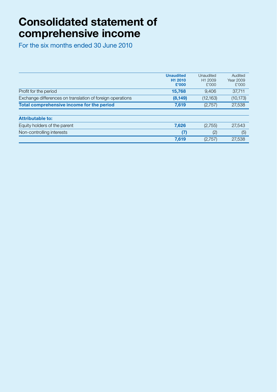## Consolidated statement of comprehensive income

For the six months ended 30 June 2010

|                                                           | <b>Unaudited</b><br>H <sub>1</sub> 2010<br>£'000 | Unaudited<br>H <sub>1</sub> 2009<br>£'000 | Audited<br>Year 2009<br>£'000 |
|-----------------------------------------------------------|--------------------------------------------------|-------------------------------------------|-------------------------------|
| Profit for the period                                     | 15,768                                           | 9.406                                     | 37,711                        |
| Exchange differences on translation of foreign operations | (8, 149)                                         | (12, 163)                                 | (10, 173)                     |
| Total comprehensive income for the period                 | 7,619                                            | (2,757)                                   | 27,538                        |
| <b>Attributable to:</b>                                   |                                                  |                                           |                               |
| Equity holders of the parent                              | 7.626                                            | (2,755)                                   | 27,543                        |
| Non-controlling interests                                 | (7)                                              | (2)                                       | (5)                           |
|                                                           | 7,619                                            | (2,757)                                   | 27.538                        |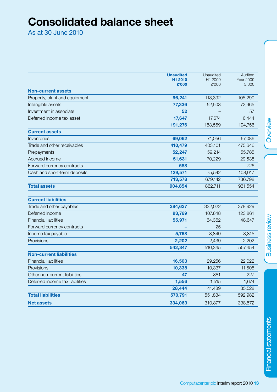# Consolidated balance sheet

As at 30 June 2010

|                                 | <b>Unaudited</b><br>H1 2010 | Unaudited<br>H1 2009 | Audited<br><b>Year 2009</b> |
|---------------------------------|-----------------------------|----------------------|-----------------------------|
|                                 | £'000                       | £'000                | £'000                       |
| <b>Non-current assets</b>       |                             |                      |                             |
| Property, plant and equipment   | 96,241                      | 113,392              | 105,290                     |
| Intangible assets               | 77,336                      | 52,503               | 72,965                      |
| Investment in associate         | 52                          |                      | 57                          |
| Deferred income tax asset       | 17,647                      | 17,674               | 16,444                      |
|                                 | 191,276                     | 183,569              | 194,756                     |
| <b>Current assets</b>           |                             |                      |                             |
| Inventories                     | 69,062                      | 71,056               | 67,086                      |
| Trade and other receivables     | 410,479                     | 403,101              | 475,646                     |
| Prepayments                     | 52,247                      | 59,214               | 55,785                      |
| Accrued income                  | 51,631                      | 70,229               | 29,538                      |
| Forward currency contracts      | 588                         |                      | 726                         |
| Cash and short-term deposits    | 129,571                     | 75,542               | 108,017                     |
|                                 | 713,578                     | 679,142              | 736,798                     |
| <b>Total assets</b>             | 904,854                     | 862,711              | 931,554                     |
|                                 |                             |                      |                             |
| <b>Current liabilities</b>      |                             |                      |                             |
| Trade and other payables        | 384,637                     | 332,022              | 378,929                     |
| Deferred income                 | 93,769                      | 107,648              | 123,861                     |
| <b>Financial liabilities</b>    | 55,971                      | 64,362               | 48,647                      |
| Forward currency contracts      |                             | 25                   |                             |
| Income tax payable              | 5,768                       | 3,849                | 3,815                       |
| Provisions                      | 2,202                       | 2,439                | 2,202                       |
|                                 | 542,347                     | 510,345              | 557,454                     |
| <b>Non-current liabilities</b>  |                             |                      |                             |
| <b>Financial liabilities</b>    | 16,503                      | 29,256               | 22,022                      |
| Provisions                      | 10,338                      | 10,337               | 11,605                      |
| Other non-current liabilities   | 47                          | 381                  | 227                         |
| Deferred income tax liabilities | 1,556                       | 1,515                | 1,674                       |
|                                 | 28,444                      | 41,489               | 35,528                      |
| <b>Total liabilities</b>        | 570,791                     | 551,834              | 592,982                     |
| <b>Net assets</b>               | 334,063                     | 310,877              | 338,572                     |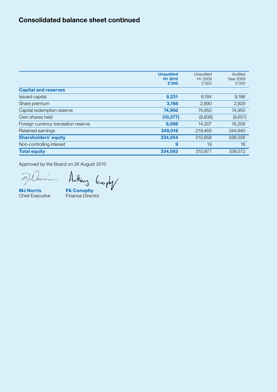|                                      | <b>Unaudited</b> | Unaudited | Audited          |
|--------------------------------------|------------------|-----------|------------------|
|                                      | H1 2010          | H1 2009   | <b>Year 2009</b> |
|                                      | £'000            | £'000     | £'000            |
| <b>Capital and reserves</b>          |                  |           |                  |
| <b>Issued capital</b>                | 9,231            | 9.184     | 9,186            |
| Share premium                        | 3,168            | 2.890     | 2,929            |
| Capital redemption reserve           | 74,950           | 74,950    | 74,950           |
| Own shares held                      | (10, 377)        | (9,838)   | (9,657)          |
| Foreign currency translation reserve | 8,066            | 14.207    | 16,208           |
| Retained earnings                    | 249.016          | 219.465   | 244.940          |
| <b>Shareholders' equity</b>          | 334.054          | 310.858   | 338,556          |
| Non-controlling interest             | 9                | 19        | 16               |
| <b>Total equity</b>                  | 334,063          | 310.877   | 338.572          |

Approved by the Board on 26 August 2010

 $\widehat{m}$ 

**MJ Norris FA Conophy**<br>Chief Executive Finance Director

Anthony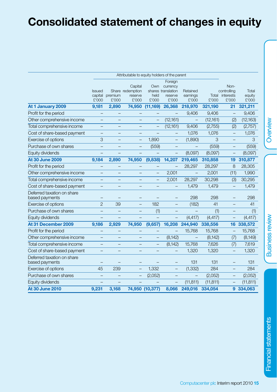# Consolidated statement of changes in equity

|                                              |                          | Attributable to equity holders of the parent |                                                 |                          |                                                               |                               |           |                                                 |                          |
|----------------------------------------------|--------------------------|----------------------------------------------|-------------------------------------------------|--------------------------|---------------------------------------------------------------|-------------------------------|-----------|-------------------------------------------------|--------------------------|
|                                              | Issued<br>£'000          | capital premium<br>£'000                     | Capital<br>Share redemption<br>reserve<br>£'000 | Own<br>held<br>£'000     | Foreign<br>currency<br>shares translation<br>reserve<br>£'000 | Retained<br>earnings<br>£'000 | £'000     | Non-<br>controlling<br>Total interests<br>£'000 | Total<br>equity<br>£'000 |
| At 1 January 2009                            | 9,181                    | 2,890                                        | 74,950                                          | (11, 169)                | 26,368                                                        | 218,970                       | 321,190   | 21                                              | 321,211                  |
| Profit for the period                        |                          |                                              |                                                 |                          |                                                               | 9,406                         | 9,406     | $\overline{\phantom{0}}$                        | 9,406                    |
| Other comprehensive income                   | -                        | $\qquad \qquad -$                            | -                                               | $\qquad \qquad -$        | (12, 161)                                                     | $\qquad \qquad -$             | (12, 161) | (2)                                             | (12, 163)                |
| Total comprehensive income                   | $\qquad \qquad -$        | $\overline{\phantom{0}}$                     | $\overline{\phantom{0}}$                        | $\qquad \qquad -$        | (12, 161)                                                     | 9,406                         | (2,755)   | (2)                                             | (2,757)                  |
| Cost of share-based payment                  | -                        |                                              |                                                 | -                        | $\qquad \qquad -$                                             | 1,076                         | 1,076     | $\overline{\phantom{0}}$                        | 1,076                    |
| Exercise of options                          | 3                        |                                              |                                                 | 1.890                    |                                                               | (1,890)                       | 3         |                                                 | 3                        |
| Purchase of own shares                       | -                        | $\qquad \qquad -$                            | $\qquad \qquad -$                               | (559)                    | $\qquad \qquad -$                                             |                               | (559)     | -                                               | (559)                    |
| Equity dividends                             | -                        |                                              |                                                 |                          | $\overline{\phantom{0}}$                                      | (8,097)                       | (8,097)   | $\overline{\phantom{0}}$                        | (8,097)                  |
| <b>At 30 June 2009</b>                       | 9,184                    | 2,890                                        | 74,950                                          | (9,838)                  | 14,207                                                        | 219,465                       | 310,858   | 19                                              | 310,877                  |
| Profit for the period                        | -                        |                                              |                                                 |                          |                                                               | 28,297                        | 28,297    | 8                                               | 28,305                   |
| Other comprehensive income                   | $\overline{\phantom{0}}$ | $\overline{\phantom{0}}$                     | $\overline{\phantom{0}}$                        | $\qquad \qquad -$        | 2.001                                                         | $\qquad \qquad -$             | 2,001     | (11)                                            | 1,990                    |
| Total comprehensive income                   | $\overline{\phantom{0}}$ | $\overline{\phantom{0}}$                     |                                                 | $\overline{\phantom{0}}$ | 2,001                                                         | 28,297                        | 30,298    | (3)                                             | 30,295                   |
| Cost of share-based payment                  |                          |                                              |                                                 | $\overline{\phantom{0}}$ | -                                                             | 1,479                         | 1,479     | $\overline{\phantom{0}}$                        | 1,479                    |
| Deferred taxation on share<br>based payments |                          |                                              |                                                 |                          |                                                               | 298                           | 298       |                                                 | 298                      |
| Exercise of options                          | $\overline{2}$           | 39                                           |                                                 | 182                      | -                                                             | (182)                         | 41        | $\overline{\phantom{0}}$                        | 41                       |
| Purchase of own shares                       | $\overline{\phantom{0}}$ | $\qquad \qquad -$                            | $\qquad \qquad -$                               | (1)                      | $\overline{\phantom{0}}$                                      |                               | (1)       | -                                               | (1)                      |
| Equity dividends                             | -                        |                                              | $\overline{\phantom{0}}$                        | $\equiv$                 | $\equiv$                                                      | (4, 417)                      | (4, 417)  | $\overline{a}$                                  | (4, 417)                 |
| At 31 December 2009                          | 9,186                    | 2,929                                        | 74,950                                          | (9,657)                  | 16,208                                                        | 244,940                       | 338,556   | 16                                              | 338,572                  |
| Profit for the period                        | -                        |                                              | -                                               | -                        |                                                               | 15,768                        | 15,768    |                                                 | 15,768                   |
| Other comprehensive income                   | -                        | $\qquad \qquad -$                            | $\overline{\phantom{0}}$                        | $\qquad \qquad -$        | (8, 142)                                                      |                               | (8, 142)  | (7)                                             | (8, 149)                 |
| Total comprehensive income                   | $\overline{\phantom{0}}$ | $\qquad \qquad -$                            |                                                 | $\overline{\phantom{0}}$ | (8, 142)                                                      | 15,768                        | 7,626     | (7)                                             | 7,619                    |
| Cost of share-based payment                  |                          |                                              |                                                 |                          |                                                               | 1,320                         | 1,320     |                                                 | 1,320                    |
| Deferred taxation on share<br>based payments |                          |                                              |                                                 |                          |                                                               | 131                           | 131       |                                                 | 131                      |
| Exercise of options                          | 45                       | 239                                          | $\qquad \qquad -$                               | 1,332                    | $\qquad \qquad -$                                             | (1, 332)                      | 284       | -                                               | 284                      |
| Purchase of own shares                       | -                        |                                              | $\qquad \qquad -$                               | (2,052)                  | $\overline{\phantom{0}}$                                      |                               | (2,052)   | $\overline{\phantom{0}}$                        | (2,052)                  |
| Equity dividends                             | -                        |                                              |                                                 |                          | $\overline{\phantom{0}}$                                      | (11, 811)                     | (11, 811) | -                                               | (11, 811)                |
| <b>At 30 June 2010</b>                       | 9.231                    | 3.168                                        | 74.950                                          | (10, 377)                | 8.066                                                         | 249,016                       | 334,054   |                                                 | 9 334,063                |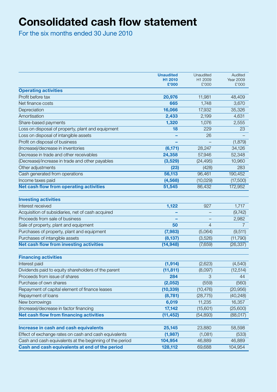# Consolidated cash flow statement

For the six months ended 30 June 2010

|                                                          | <b>Unaudited</b> | Unaudited        | Audited                   |
|----------------------------------------------------------|------------------|------------------|---------------------------|
|                                                          | H1 2010<br>£'000 | H1 2009<br>£'000 | <b>Year 2009</b><br>£'000 |
| <b>Operating activities</b>                              |                  |                  |                           |
| Profit before tax                                        | 20,976           | 11,981           | 48,409                    |
| Net finance costs                                        | 665              | 1,748            | 3,670                     |
| Depreciation                                             | 16,066           | 17,932           | 35,326                    |
| Amortisation                                             | 2,433            | 2,199            | 4,631                     |
| Share-based payments                                     | 1,320            | 1,076            | 2,555                     |
| Loss on disposal of property, plant and equipment        | 18               | 229              | 23                        |
| Loss on disposal of intangible assets                    | -                | 26               |                           |
| Profit on disposal of business                           |                  |                  | (1,879)                   |
| (Increase)/decrease in inventories                       | (6, 171)         | 28,247           | 34,126                    |
| Decrease in trade and other receivables                  | 24,358           | 57,946           | 52,348                    |
| (Decrease)/increase in trade and other payables          | (3,529)          | (24, 495)        | 10,960                    |
| Other adjustments                                        | (23)             | (428)            | 283                       |
| Cash generated from operations                           | 56,113           | 96,461           | 190,452                   |
| Income taxes paid                                        | (4, 568)         | (10, 029)        | (17,500)                  |
| Net cash flow from operating activities                  | 51,545           | 86,432           | 172,952                   |
| <b>Investing activities</b>                              |                  |                  |                           |
| Interest received                                        | 1,122            | 927              | 1.717                     |
| Acquisition of subsidiaries, net of cash acquired        |                  |                  | (9, 742)                  |
| Proceeds from sale of business                           |                  |                  | 2,982                     |
| Sale of property, plant and equipment                    | 50               | $\overline{4}$   | 7                         |
| Purchases of property, plant and equipment               | (7,983)          | (5,064)          | (9, 511)                  |
| Purchases of intangible assets                           | (8, 137)         | (3,526)          | (11,790)                  |
| Net cash flow from investing activities                  | (14, 948)        | (7,659)          | (26, 337)                 |
| <b>Financing activities</b>                              |                  |                  |                           |
| Interest paid                                            | (1, 914)         | (2,623)          | (4, 540)                  |
| Dividends paid to equity shareholders of the parent      | (11, 811)        | (8,097)          | (12, 514)                 |
| Proceeds from issue of shares                            | 284              | 3                | 44                        |
| Purchase of own shares                                   | (2,052)          | (559)            | (560)                     |
| Repayment of capital element of finance leases           | (10, 339)        | (10, 476)        | (20, 956)                 |
| Repayment of loans                                       | (8,781)          | (28, 775)        | (40,248)                  |
| New borrowings                                           | 6,019            | 11,235           | 16,357                    |
| (Increase)/decrease in factor financing                  | 17,142           | (15,601)         | (25,600)                  |
| Net cash flow from financing activities                  | (11, 452)        | (54, 893)        | (88,017)                  |
|                                                          |                  |                  |                           |
| Increase in cash and cash equivalents                    | 25,145           | 23,880           | 58,598                    |
| Effect of exchange rates on cash and cash equivalents    | (1,987)          | (1,081)          | (533)                     |
| Cash and cash equivalents at the beginning of the period | 104,954          | 46,889           | 46,889                    |
| Cash and cash equivalents at end of the period           | 128,112          | 69,688           | 104,954                   |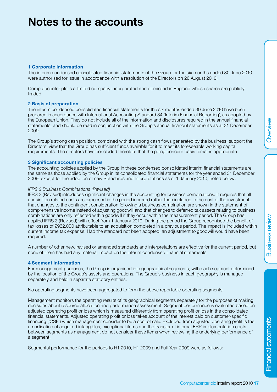#### Computacenter plc Interim report 2010 17

#### 1 Corporate information

The interim condensed consolidated financial statements of the Group for the six months ended 30 June 2010 were authorised for issue in accordance with a resolution of the Directors on 26 August 2010.

Computacenter plc is a limited company incorporated and domiciled in England whose shares are publicly traded.

#### 2 Basis of preparation

The interim condensed consolidated financial statements for the six months ended 30 June 2010 have been prepared in accordance with International Accounting Standard 34 'Interim Financial Reporting', as adopted by the European Union. They do not include all of the information and disclosures required in the annual financial statements, and should be read in conjunction with the Group's annual financial statements as at 31 December 2009.

The Group's strong cash position, combined with the strong cash flows generated by the business, support the Directors' view that the Group has sufficient funds available for it to meet its foreseeable working capital requirements. The directors have concluded therefore that the going concern basis remains appropriate.

#### 3 Significant accounting policies

The accounting policies applied by the Group in these condensed consolidated interim financial statements are the same as those applied by the Group in its consolidated financial statements for the year ended 31 December 2009, except for the adoption of new Standards and Interpretations as of 1 January 2010, noted below:

#### *IFRS 3 Business Combinations (Revised)*

IFRS 3 (Revised) introduces significant changes in the accounting for business combinations. It requires that all acquisition related costs are expensed in the period incurred rather than included in the cost of the investment, that changes to the contingent consideration following a business combination are shown in the statement of comprehensive income instead of adjusting goodwill and that changes to deferred tax assets relating to business combinations are only reflected within goodwill if they occur within the measurement period. The Group has applied IFRS 3 (Revised) with effect from 1 January 2010. During the period the Group recognised the benefit of tax losses of £932,000 attributable to an acquisition completed in a previous period. The impact is included within current income tax expense. Had the standard not been adopted, an adjustment to goodwill would have been required.

A number of other new, revised or amended standards and interpretations are effective for the current period, but none of them has had any material impact on the interim condensed financial statements.

#### 4 Segment information

For management purposes, the Group is organised into geographical segments, with each segment determined by the location of the Group's assets and operations. The Group's business in each geography is managed separately and held in separate statutory entities.

No operating segments have been aggregated to form the above reportable operating segments.

Management monitors the operating results of its geographical segments separately for the purposes of making decisions about resource allocation and performance assessment. Segment performance is evaluated based on adjusted operating profit or loss which is measured differently from operating profit or loss in the consolidated financial statements. Adjusted operating profit or loss takes account of the interest paid on customer-specific financing ('CSF') which management consider to be a cost of sale. Excluded from adjusted operating profit is the amortisation of acquired intangibles, exceptional items and the transfer of internal ERP implementation costs between segments as management do not consider these items when reviewing the underlying performance of a segment.

Segmental performance for the periods to H1 2010, H1 2009 and Full Year 2009 were as follows:

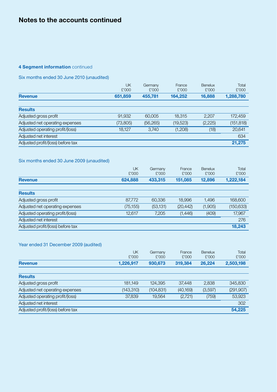#### 4 Segment information continued

#### Six months ended 30 June 2010 (unaudited)

|                                   | UK<br>£'000 | Germany<br>£'000 | France<br>£'000 | <b>Benelux</b><br>£'000 | Total<br>£'000 |
|-----------------------------------|-------------|------------------|-----------------|-------------------------|----------------|
| <b>Revenue</b>                    | 651,859     | 455.781          | 164,252         | 16,888                  | 1,288,780      |
|                                   |             |                  |                 |                         |                |
| <b>Results</b>                    |             |                  |                 |                         |                |
| Adjusted gross profit             | 91,932      | 60.005           | 18.315          | 2.207                   | 172,459        |
| Adjusted net operating expenses   | (73,805)    | (56, 265)        | (19, 523)       | (2,225)                 | (151, 818)     |
| Adjusted operating profit/(loss)  | 18.127      | 3.740            | (1,208)         | (18)                    | 20,641         |
| Adjusted net interest             |             |                  |                 |                         | 634            |
| Adjusted profit/(loss) before tax |             |                  |                 |                         | 21,275         |

#### Six months ended 30 June 2009 (unaudited)

| £'000<br>£'000<br>£'000<br>£'000<br>£'000<br>1,222,184<br>624,888<br>433.315<br>12,896<br>151,085<br>60,336<br>18.996<br>1.496<br>87,772<br>168,600<br>(150, 633)<br>(75, 155)<br>(20, 442)<br>(1,905)<br>(53, 131)<br>17,967<br>(409)<br>12.617<br>7,205<br>(1,446)<br>276<br>18,243 |                                   | UK | Germany | France | Benelux | Total |
|---------------------------------------------------------------------------------------------------------------------------------------------------------------------------------------------------------------------------------------------------------------------------------------|-----------------------------------|----|---------|--------|---------|-------|
|                                                                                                                                                                                                                                                                                       |                                   |    |         |        |         |       |
|                                                                                                                                                                                                                                                                                       | Revenue                           |    |         |        |         |       |
|                                                                                                                                                                                                                                                                                       |                                   |    |         |        |         |       |
|                                                                                                                                                                                                                                                                                       | <b>Results</b>                    |    |         |        |         |       |
|                                                                                                                                                                                                                                                                                       | Adjusted gross profit             |    |         |        |         |       |
|                                                                                                                                                                                                                                                                                       | Adjusted net operating expenses   |    |         |        |         |       |
|                                                                                                                                                                                                                                                                                       | Adjusted operating profit/(loss)  |    |         |        |         |       |
|                                                                                                                                                                                                                                                                                       | Adjusted net interest             |    |         |        |         |       |
|                                                                                                                                                                                                                                                                                       | Adjusted profit/(loss) before tax |    |         |        |         |       |

#### Year ended 31 December 2009 (audited)

|                                   | UK<br>£'000 | Germany<br>£'000 | France<br>£'000 | <b>Benelux</b><br>£'000 | Total<br>£'000 |
|-----------------------------------|-------------|------------------|-----------------|-------------------------|----------------|
| <b>Revenue</b>                    | 1,226,917   | 930.673          | 319,384         | 26.224                  | 2,503,198      |
| <b>Results</b>                    |             |                  |                 |                         |                |
| Adjusted gross profit             | 181,149     | 124.395          | 37.448          | 2,838                   | 345,830        |
| Adjusted net operating expenses   | (143,310)   | (104, 831)       | (40, 169)       | (3,597)                 | (291, 907)     |
| Adjusted operating profit/(loss)  | 37,839      | 19.564           | (2,721)         | (759)                   | 53,923         |
| Adjusted net interest             |             |                  |                 |                         | 302            |
| Adjusted profit/(loss) before tax |             |                  |                 |                         | 54,225         |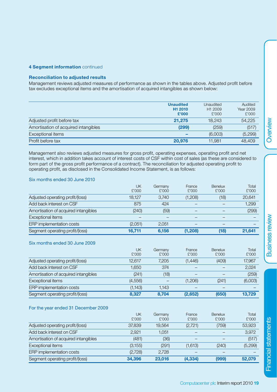#### 4 Segment information continued

#### Reconciliation to adjusted results

Management reviews adjusted measures of performance as shown in the tables above. Adjusted profit before tax excludes exceptional items and the amortisation of acquired intangibles as shown below:

|                                      | <b>Unaudited</b>    | Unaudited           | Audited          |
|--------------------------------------|---------------------|---------------------|------------------|
|                                      | H <sub>1</sub> 2010 | H <sub>1</sub> 2009 | <b>Year 2009</b> |
|                                      | £'000               | £'000               | £'000            |
| Adjusted profit before tax           | 21.275              | 18.243              | 54,225           |
| Amortisation of acquired intangibles | (299)               | (259)               | (517)            |
| Exceptional items                    | -                   | (6,003)             | (5, 299)         |
| Profit before tax                    | 20,976              | 11.981              | 48,409           |

Management also reviews adjusted measures for gross profit, operating expenses, operating profit and net interest, which in addition takes account of interest costs of CSF within cost of sales (as these are considered to form part of the gross profit performance of a contract). The reconciliation for adjusted operating profit to operating profit, as disclosed in the Consolidated Income Statement, is as follows:

#### Six months ended 30 June 2010

|                                      | UK<br>£'000 | Germany<br>£'000 | France<br>£'000          | Benelux<br>£'000 | Total<br>£'000 |
|--------------------------------------|-------------|------------------|--------------------------|------------------|----------------|
| Adjusted operating profit/(loss)     | 18.127      | 3.740            | (1,208)                  | (18)             | 20,641         |
| Add back interest on CSF             | 875         | 424              | -                        |                  | 1,299          |
| Amortisation of acquired intangibles | (240)       | (59)             | $\overline{\phantom{a}}$ |                  | (299)          |
| Exceptional items                    |             |                  |                          |                  |                |
| ERP implementation costs             | (2,051)     | 2.051            |                          |                  |                |
| Segment operating profit/(loss)      | 16.711      | 6.156            | (1, 208)                 | (18)             | 21,641         |

#### Six months ended 30 June 2009

|                                      | UK<br>£'000 | Germany<br>£'000 | France<br>£'000 | Benelux<br>£'000 | Total<br>£'000 |
|--------------------------------------|-------------|------------------|-----------------|------------------|----------------|
| Adjusted operating profit/(loss)     | 12.617      | 7.205            | (1.446)         | (409)            | 17.967         |
| Add back interest on CSF             | 1.650       | 374              |                 |                  | 2.024          |
| Amortisation of acquired intangibles | (241)       | (18)             |                 |                  | (259)          |
| Exceptional items                    | (4,556)     |                  | (1,206)         | (241)            | (6,003)        |
| ERP implementation costs             | (1, 143)    | 1.143            |                 |                  |                |
| Segment operating profit/(loss)      | 8.327       | 8.704            | (2,652)         | (650)            | 13.729         |

#### For the year ended 31 December 2009

|                                      | UK       | Germany | France   | <b>Benelux</b> | Total   |
|--------------------------------------|----------|---------|----------|----------------|---------|
|                                      | £'000    | £'000   | £'000    | £'000          | £'000   |
| Adjusted operating profit/(loss)     | 37.839   | 19.564  | (2,721)  | (759)          | 53,923  |
| Add back interest on CSF             | 2.921    | 1.051   |          |                | 3.972   |
| Amortisation of acquired intangibles | (481)    | (36)    |          |                | (517)   |
| Exceptional items                    | (3, 155) | (291)   | (1,613)  | (240)          | (5,299) |
| ERP implementation costs             | (2.728)  | 2.728   |          |                |         |
| Segment operating profit/(loss)      | 34,396   | 23,016  | (4, 334) | (999)          | 52,079  |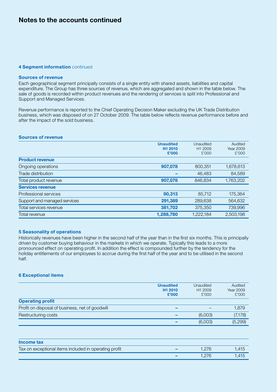#### 4 Segment information continued

#### Sources of revenue

Each geographical segment principally consists of a single entity with shared assets, liabilities and capital expenditure. The Group has three sources of revenue, which are aggregated and shown in the table below. The sale of goods is recorded within product revenues and the rendering of services is split into Professional and Support and Managed Services.

Revenue performance is reported to the Chief Operating Decision Maker excluding the UK Trade Distribution business, which was disposed of on 27 October 2009. The table below reflects revenue performance before and after the impact of the sold business.

#### Sources of revenue

|                              | <b>Unaudited</b> | Unaudited | Audited          |
|------------------------------|------------------|-----------|------------------|
|                              | H1 2010          | H1 2009   | <b>Year 2009</b> |
|                              | £'000            | £'000     | £'000            |
| <b>Product revenue</b>       |                  |           |                  |
| Ongoing operations           | 907,078          | 800.351   | 1,678,613        |
| Trade distribution           |                  | 46.483    | 84,589           |
| Total product revenue        | 907,078          | 846.834   | 1,763,202        |
| <b>Services revenue</b>      |                  |           |                  |
| Professional services        | 90,313           | 85.712    | 175,364          |
| Support and managed services | 291,389          | 289.638   | 564,632          |
| Total services revenue       | 381,702          | 375,350   | 739,996          |
| <b>Total revenue</b>         | 1,288,780        | 1,222,184 | 2,503,198        |

#### 5 Seasonality of operations

Historically revenues have been higher in the second half of the year than in the first six months. This is principally driven by customer buying behaviour in the markets in which we operate. Typically this leads to a more pronounced effect on operating profit. In addition the effect is compounded further by the tendency for the holiday entitlements of our employees to accrue during the first half of the year and to be utilised in the second half.

#### 6 Exceptional items

|                                                 | <b>Unaudited</b><br>H1 2010<br>£'000 | Unaudited<br>H1 2009<br>£'000 | Audited<br>Year 2009<br>£'000 |
|-------------------------------------------------|--------------------------------------|-------------------------------|-------------------------------|
| <b>Operating profit</b>                         |                                      |                               |                               |
| Profit on disposal of business, net of goodwill |                                      |                               | 1,879                         |
| Restructuring costs                             |                                      | (6,003)                       | (7,178)                       |
|                                                 |                                      | (6,003)                       | (5, 299)                      |

| Income tax                                            |       |      |
|-------------------------------------------------------|-------|------|
| Tax on exceptional items included in operating profit | 1.276 | .415 |
|                                                       | 1.276 | .415 |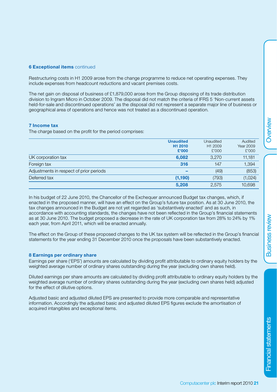Financial statements

#### **6 Exceptional items continued**

Restructuring costs in H1 2009 arose from the change programme to reduce net operating expenses. They include expenses from headcount reductions and vacant premises costs.

The net gain on disposal of business of £1,879,000 arose from the Group disposing of its trade distribution division to Ingram Micro in October 2009. The disposal did not match the criteria of IFRS 5 'Non-current assets held-for-sale and discontinued operations' as the disposal did not represent a separate major line of business or geographical area of operations and hence was not treated as a discontinued operation.

#### 7 Income tax

The charge based on the profit for the period comprises:

|                                         | <b>Unaudited</b><br>H1 2010<br>£'000 | Unaudited<br>H1 2009<br>£'000 | Audited<br><b>Year 2009</b><br>£'000 |
|-----------------------------------------|--------------------------------------|-------------------------------|--------------------------------------|
| UK corporation tax                      | 6,082                                | 3.270                         | 11,181                               |
| Foreign tax                             | 316                                  | 147                           | 1,394                                |
| Adjustments in respect of prior periods | -                                    | (49)                          | (853)                                |
| Deferred tax                            | (1,190)                              | (793)                         | (1,024)                              |
|                                         | 5,208                                | 2.575                         | 10,698                               |

In his budget of 22 June 2010, the Chancellor of the Exchequer announced Budget tax changes, which, if enacted in the proposed manner, will have an effect on the Group's future tax position. As at 30 June 2010, the tax changes announced in the Budget are not yet regarded as 'substantively enacted' and as such, in accordance with accounting standards, the changes have not been reflected in the Group's financial statements as at 30 June 2010. The budget proposed a decrease in the rate of UK corporation tax from 28% to 24% by 1% each year, from April 2011, which will be enacted annually.

The effect on the Group of these proposed changes to the UK tax system will be reflected in the Group's financial statements for the year ending 31 December 2010 once the proposals have been substantively enacted.

#### 8 Earnings per ordinary share

Earnings per share ('EPS') amounts are calculated by dividing profit attributable to ordinary equity holders by the weighted average number of ordinary shares outstanding during the year (excluding own shares held).

Diluted earnings per share amounts are calculated by dividing profit attributable to ordinary equity holders by the weighted average number of ordinary shares outstanding during the year (excluding own shares held) adjusted for the effect of dilutive options.

Adjusted basic and adjusted diluted EPS are presented to provide more comparable and representative information. Accordingly the adjusted basic and adjusted diluted EPS figures exclude the amortisation of acquired intangibles and exceptional items.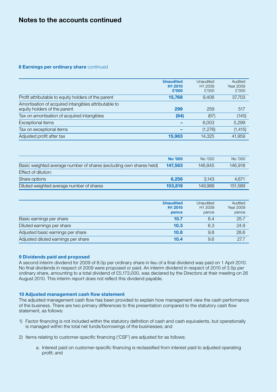#### 8 **Earnings per ordinary share** continued

|                                                                                      | <b>Unaudited</b><br>H <sub>1</sub> 2010<br>£'000 | Unaudited<br>H1 2009<br>£'000 | Audited<br><b>Year 2009</b><br>£'000 |
|--------------------------------------------------------------------------------------|--------------------------------------------------|-------------------------------|--------------------------------------|
| Profit attributable to equity holders of the parent                                  | 15,768                                           | 9,406                         | 37,703                               |
| Amortisation of acquired intangibles attributable to<br>equity holders of the parent | 299                                              | 259                           | 517                                  |
| Tax on amortisation of acquired intangibles                                          | (84)                                             | (67)                          | (145)                                |
| Exceptional items                                                                    |                                                  | 6,003                         | 5,299                                |
| Tax on exceptional items                                                             |                                                  | (1,276)                       | (1, 415)                             |
| Adjusted profit after tax                                                            | 15,983                                           | 14.325                        | 41.959                               |
|                                                                                      |                                                  |                               |                                      |
|                                                                                      | <b>No '000</b>                                   | No '000                       | No '000                              |
| Basic weighted average number of shares (excluding own shares held)                  | 147,563                                          | 146.845                       | 146.918                              |
| Effect of dilution:                                                                  |                                                  |                               |                                      |
| Share options                                                                        | 6,256                                            | 3.143                         | 4.671                                |

|                                     | <b>Unaudited</b>    | Unaudited | Audited   |
|-------------------------------------|---------------------|-----------|-----------|
|                                     | H <sub>1</sub> 2010 | H1 2009   | Year 2009 |
|                                     | pence               | pence     | pence     |
| Basic earnings per share            | 10.7                | 6.4       | 25.7      |
| Diluted earnings per share          | 10.3                | 6.3       | 24.9      |
| Adjusted basic earnings per share   | 10.8                | 9.8       | 28.6      |
| Adjusted diluted earnings per share | 10.4                | 9.6       | 27.7      |

Diluted weighted average number of shares 153,819 153,819 149,988 151,589

#### 9 Dividends paid and proposed

A second interim dividend for 2009 of 8.0p per ordinary share in lieu of a final dividend was paid on 1 April 2010. No final dividends in respect of 2009 were proposed or paid. An interim dividend in respect of 2010 of 3.5p per ordinary share, amounting to a total dividend of £5,173,000, was declared by the Directors at their meeting on 26 August 2010. This interim report does not reflect this dividend payable.

#### 10 Adjusted management cash flow statement

The adjusted management cash flow has been provided to explain how management view the cash performance of the business. There are two primary differences to this presentation compared to the statutory cash flow statement, as follows:

- 1) Factor financing is not included within the statutory definition of cash and cash equivalents, but operationally is managed within the total net funds/borrowings of the businesses; and
- 2) Items relating to customer-specific financing ('CSF') are adjusted for as follows:
	- a. Interest paid on customer-specific financing is reclassified from interest paid to adjusted operating profit; and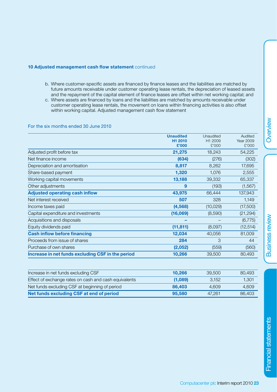#### 10 Adjusted management cash flow statement continued

- b. Where customer-specific assets are financed by finance leases and the liabilities are matched by future amounts receivable under customer operating lease rentals, the depreciation of leased assets and the repayment of the capital element of finance leases are offset within net working capital; and
- c. Where assets are financed by loans and the liabilities are matched by amounts receivable under customer operating lease rentals, the movement on loans within financing activities is also offset within working capital. Adjusted management cash flow statement

#### For the six months ended 30 June 2010

|                                                   | <b>Unaudited</b><br>H <sub>1</sub> 2010 | Unaudited<br>H <sub>12009</sub> | Audited<br>Year 2009 |
|---------------------------------------------------|-----------------------------------------|---------------------------------|----------------------|
|                                                   | £'000                                   | £'000                           | £'000                |
| Adjusted profit before tax                        | 21,275                                  | 18,243                          | 54,225               |
| Net finance income                                | (634)                                   | (276)                           | (302)                |
| Depreciation and amortisation                     | 8,817                                   | 8,262                           | 17,695               |
| Share-based payment                               | 1,320                                   | 1,076                           | 2,555                |
| Working capital movements                         | 13,188                                  | 39,332                          | 65,337               |
| Other adjustments                                 | 9                                       | (193)                           | (1, 567)             |
| <b>Adjusted operating cash inflow</b>             | 43,975                                  | 66,444                          | 137,943              |
| Net interest received                             | 507                                     | 328                             | 1,149                |
| Income taxes paid                                 | (4, 568)                                | (10, 029)                       | (17,500)             |
| Capital expenditure and investments               | (16,069)                                | (8,590)                         | (21, 294)            |
| Acquisitions and disposals                        |                                         |                                 | (6,775)              |
| Equity dividends paid                             | (11, 811)                               | (8,097)                         | (12, 514)            |
| <b>Cash inflow before financing</b>               | 12,034                                  | 40,056                          | 81,009               |
| Proceeds from issue of shares                     | 284                                     | 3                               | 44                   |
| Purchase of own shares                            | (2,052)                                 | (559)                           | (560)                |
| Increase in net funds excluding CSF in the period | 10,266                                  | 39,500                          | 80,493               |
|                                                   |                                         |                                 |                      |

| Increase in net funds excluding CSF                   | 10.266  | 39,500 | 80.493 |
|-------------------------------------------------------|---------|--------|--------|
| Effect of exchange rates on cash and cash equivalents | (1.089) | 3.152  | 1.301  |
| Net funds excluding CSF at beginning of period        | 86,403  | 4.609  | 4.609  |
| Net funds excluding CSF at end of period              | 95,580  | 47.261 | 86.403 |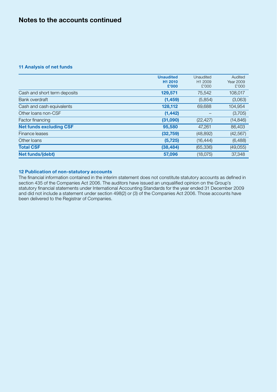#### 11 Analysis of net funds

|                                | <b>Unaudited</b>    | Unaudited | Audited          |
|--------------------------------|---------------------|-----------|------------------|
|                                | H <sub>1</sub> 2010 | H1 2009   | <b>Year 2009</b> |
|                                | £'000               | £'000     | £'000            |
| Cash and short term deposits   | 129,571             | 75.542    | 108.017          |
| Bank overdraft                 | (1, 459)            | (5,854)   | (3,063)          |
| Cash and cash equivalents      | 128,112             | 69,688    | 104.954          |
| Other loans non-CSF            | (1, 442)            |           | (3,705)          |
| Factor financing               | (31,090)            | (22, 427) | (14, 846)        |
| <b>Net funds excluding CSF</b> | 95,580              | 47.261    | 86,403           |
| Finance leases                 | (32, 759)           | (48, 892) | (42, 567)        |
| Other loans                    | (5, 725)            | (16, 444) | (6, 488)         |
| <b>Total CSF</b>               | (38, 484)           | (65, 336) | (49,055)         |
| Net funds/(debt)               | 57.096              | (18,075)  | 37.348           |

#### 12 Publication of non-statutory accounts

The financial information contained in the interim statement does not constitute statutory accounts as defined in section 435 of the Companies Act 2006. The auditors have issued an unqualified opinion on the Group's statutory financial statements under International Accounting Standards for the year ended 31 December 2009 and did not include a statement under section 498(2) or (3) of the Companies Act 2006. Those accounts have been delivered to the Registrar of Companies.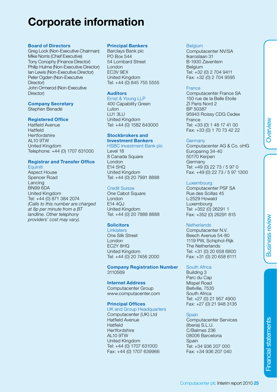# Corporate information

#### Board of Directors

Greg Lock (Non-Executive Chairman) Mike Norris (Chief Executive) Tony Conophy (Finance Director) Philip Hulme (Non-Executive Director) Ian Lewis (Non-Executive Director) Peter Ogden (Non-Executive Director) John Ormerod (Non-Executive Director)

#### Company Secretary

Stephen Benadé

#### Registered Office

Hatfield Avenue Hatfield **Hertfordshire** AL10 9TW United Kingdom Telephone: +44 (0) 1707 631000

#### Registrar and Transfer Office

**Equiniti** Aspect House Spencer Road Lancing BN99 6DA United Kingdom Tel: +44 (0) 871 384 2074 *(Calls to this number are charged at 8p per minute from a BT landline. Other telephony providers' cost may vary).*

#### Principal Bankers

Barclays Bank plc PO Box 544 54 Lombard Street London EC3V 9EX United Kingdom Tel: +44 (0) 845 755 5555

#### Auditors

Ernst & Young LLP 400 Capability Green Luton LU1 3LU United Kingdom Tel: +44 (0) 1582 643000

#### Stockbrokers and Investment Bankers

HSBC Investment Bank plc Level 18 8 Canada Square London E14 5HQ United Kingdom Tel: +44 (0) 20 7991 8888

#### Credit Suisse

One Cabot Square London  $F14 40J$ United Kingdom Tel: +44 (0) 20 7888 8888

#### **Solicitors**

Linklaters One Silk Street London EC2Y 8HQ United Kingdom Tel: +44 (0) 20 7456 2000

Company Registration Number 3110569

#### Internet Address

Computacenter Group www.computacenter.com

#### Principal Offices

UK and Group Headquarters Computacenter (UK) Ltd Hatfield Avenue Hatfield **Hertfordshire** AL10 9TW United Kingdom Tel: +44 (0) 1707 631000 Fax: +44 (0) 1707 639966

#### **Belgium**

Computacenter NV/SA Ikaroslaan 31 B-1930 Zaventem Belgium Tel: +32 (0) 2 704 9411 Fax: +32 (0) 2 704 9595

#### France

Computacenter France SA 150 rue de la Belle Etoile ZI Paris Nord 2 BP 50387 95943 Roissy CDG Cedex France Tel: +33 (0) 1 48 17 41 00 Fax: +33 (0) 1 70 73 42 22

#### **Germany**

Computacenter AG & Co. oHG Europaring 34-40 50170 Kerpen Germany Tel: +49 (0) 22 73 / 5 97 0 Fax: +49 (0) 22 73 / 5 97 1300

#### Luxembourg

Computacenter PSF SA Rue des Scillas 45 L-2529 Howald Luxembourg Tel: +352 (0) 26291 1 Fax: +352 (0) 26291 815

#### **Netherlands**

Computacenter N.V. Beech Avenue 54-80 1119 PW, Schiphol-Rijk The Netherlands Tel: +31 (0) 20 658 6800 Fax: +31 (0) 20 658 6111

#### South Africa

Building 3 Parc du Cap Mispel Road Bellville, 7535 South Africa Tel: +27 (0) 21 957 4900 Fax: +27 (0) 21 948 3135

#### Spain

Computacenter Services (Iberia) S.L.U. C/Balmes 236 08006 Barcelona Spain Tel: +34 936 207 000 Fax: +34 936 207 040